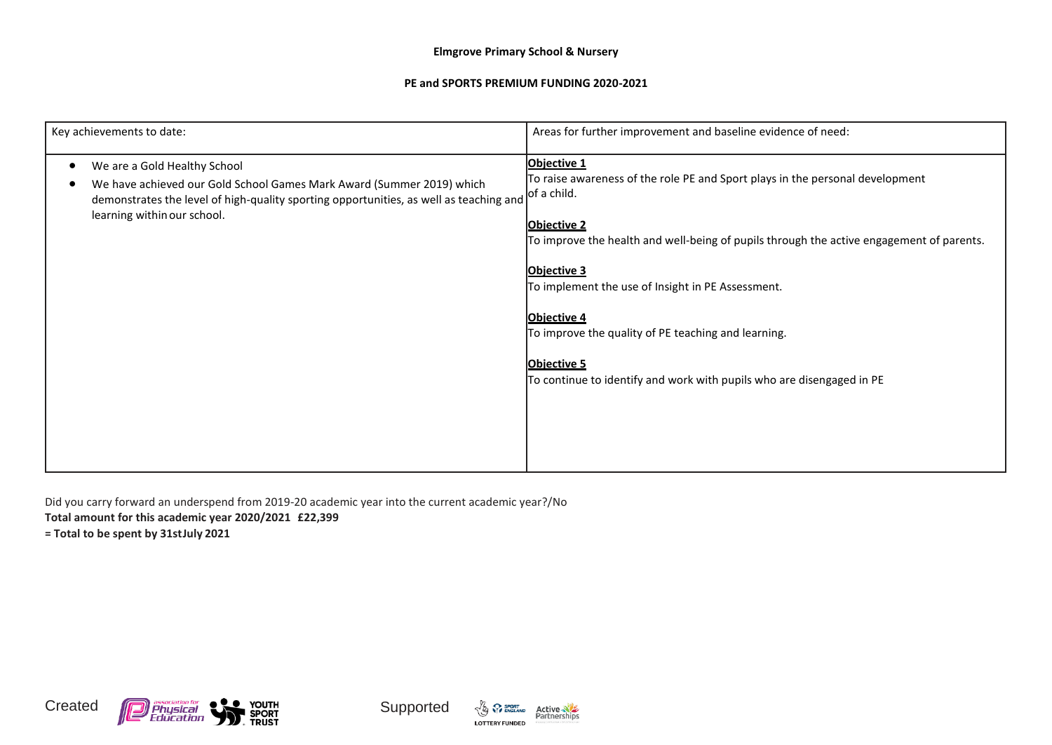## **Elmgrove Primary School & Nursery**

## **PE and SPORTS PREMIUM FUNDING 2020-2021**

| Key achievements to date:                                                                                                                                                                                                      | Areas for further improvement and baseline evidence of need:                                                                                                                                                                                                                                                                                                                                                                                                                  |
|--------------------------------------------------------------------------------------------------------------------------------------------------------------------------------------------------------------------------------|-------------------------------------------------------------------------------------------------------------------------------------------------------------------------------------------------------------------------------------------------------------------------------------------------------------------------------------------------------------------------------------------------------------------------------------------------------------------------------|
| We are a Gold Healthy School<br>We have achieved our Gold School Games Mark Award (Summer 2019) which<br>demonstrates the level of high-quality sporting opportunities, as well as teaching and<br>learning within our school. | Objective 1<br>To raise awareness of the role PE and Sport plays in the personal development<br>of a child.<br><b>Objective 2</b><br>To improve the health and well-being of pupils through the active engagement of parents.<br><b>Objective 3</b><br>To implement the use of Insight in PE Assessment.<br>Objective 4<br>To improve the quality of PE teaching and learning.<br><b>Objective 5</b><br>To continue to identify and work with pupils who are disengaged in PE |

Did you carry forward an underspend from 2019-20 academic year into the current academic year?/No

**Total amount for this academic year 2020/2021 £22,399**

**= Total to be spent by 31stJuly 2021**







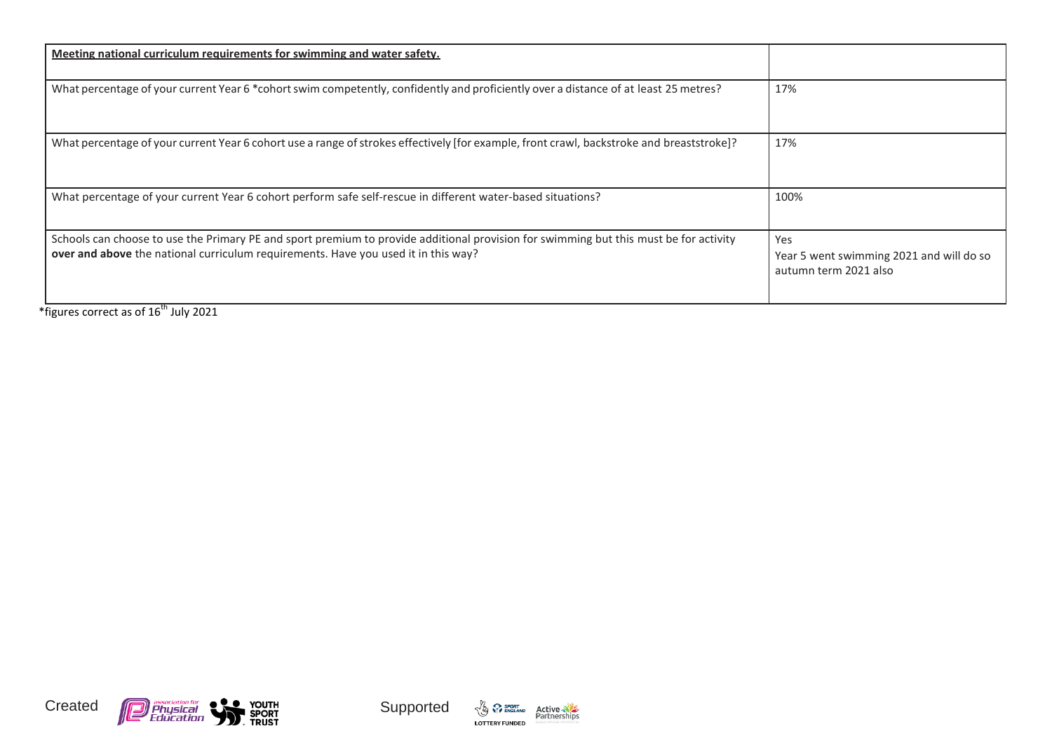| <u>Meeting national curriculum requirements for swimming and water safety.</u>                                                                                                                                              |                                                                          |
|-----------------------------------------------------------------------------------------------------------------------------------------------------------------------------------------------------------------------------|--------------------------------------------------------------------------|
| What percentage of your current Year 6 *cohort swim competently, confidently and proficiently over a distance of at least 25 metres?                                                                                        | 17%                                                                      |
| What percentage of your current Year 6 cohort use a range of strokes effectively [for example, front crawl, backstroke and breaststroke]?                                                                                   | 17%                                                                      |
| What percentage of your current Year 6 cohort perform safe self-rescue in different water-based situations?                                                                                                                 | 100%                                                                     |
| Schools can choose to use the Primary PE and sport premium to provide additional provision for swimming but this must be for activity<br>over and above the national curriculum requirements. Have you used it in this way? | Yes<br>Year 5 went swimming 2021 and will do so<br>autumn term 2021 also |

\*figures correct as of 16<sup>th</sup> July 2021







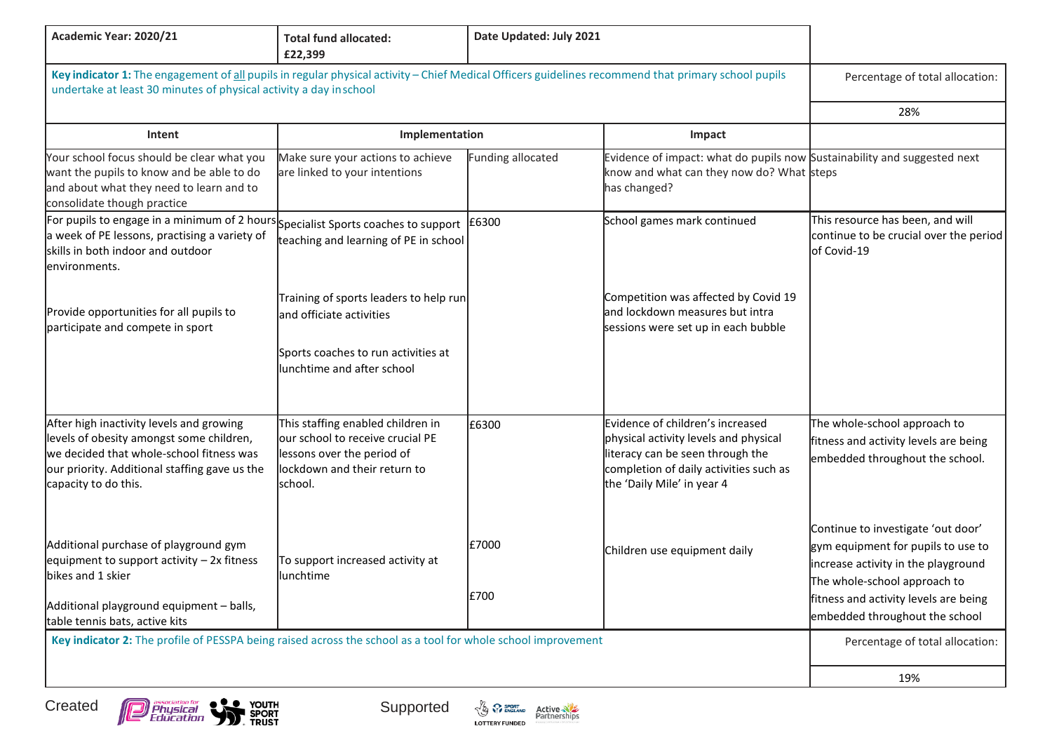| Academic Year: 2020/21                                                                                                                                                                                                   | <b>Total fund allocated:</b><br>£22,399                                                                                                       | Date Updated: July 2021 |                                                                                                                                                                                       |                                                                                                                                                                                                                            |
|--------------------------------------------------------------------------------------------------------------------------------------------------------------------------------------------------------------------------|-----------------------------------------------------------------------------------------------------------------------------------------------|-------------------------|---------------------------------------------------------------------------------------------------------------------------------------------------------------------------------------|----------------------------------------------------------------------------------------------------------------------------------------------------------------------------------------------------------------------------|
| Key indicator 1: The engagement of all pupils in regular physical activity - Chief Medical Officers guidelines recommend that primary school pupils<br>undertake at least 30 minutes of physical activity a day inschool |                                                                                                                                               |                         | Percentage of total allocation:                                                                                                                                                       |                                                                                                                                                                                                                            |
|                                                                                                                                                                                                                          |                                                                                                                                               |                         |                                                                                                                                                                                       | 28%                                                                                                                                                                                                                        |
| Intent                                                                                                                                                                                                                   | Implementation                                                                                                                                |                         | Impact                                                                                                                                                                                |                                                                                                                                                                                                                            |
| Your school focus should be clear what you<br>want the pupils to know and be able to do<br>and about what they need to learn and to<br>consolidate though practice                                                       | Make sure your actions to achieve<br>are linked to your intentions                                                                            | Funding allocated       | Evidence of impact: what do pupils now Sustainability and suggested next<br>know and what can they now do? What steps<br>has changed?                                                 |                                                                                                                                                                                                                            |
| For pupils to engage in a minimum of 2 hours Specialist Sports coaches to support<br>a week of PE lessons, practising a variety of<br>skills in both indoor and outdoor<br>lenvironments.                                | teaching and learning of PE in school                                                                                                         | £6300                   | School games mark continued                                                                                                                                                           | This resource has been, and will<br>continue to be crucial over the period<br>of Covid-19                                                                                                                                  |
| Provide opportunities for all pupils to<br>participate and compete in sport                                                                                                                                              | Training of sports leaders to help run<br>and officiate activities<br>Sports coaches to run activities at<br>unchtime and after school        |                         | Competition was affected by Covid 19<br>and lockdown measures but intra<br>sessions were set up in each bubble                                                                        |                                                                                                                                                                                                                            |
| After high inactivity levels and growing<br>levels of obesity amongst some children,<br>we decided that whole-school fitness was<br>our priority. Additional staffing gave us the<br>capacity to do this.                | This staffing enabled children in<br>our school to receive crucial PE<br>lessons over the period of<br>ockdown and their return to<br>school. | £6300                   | Evidence of children's increased<br>physical activity levels and physical<br>literacy can be seen through the<br>completion of daily activities such as<br>the 'Daily Mile' in year 4 | The whole-school approach to<br>fitness and activity levels are being<br>embedded throughout the school.                                                                                                                   |
| Additional purchase of playground gym<br>equipment to support activity $-2x$ fitness<br>bikes and 1 skier<br>Additional playground equipment - balls,<br>table tennis bats, active kits                                  | To support increased activity at<br>lunchtime                                                                                                 | £7000<br>£700           | Children use equipment daily                                                                                                                                                          | Continue to investigate 'out door'<br>gym equipment for pupils to use to<br>increase activity in the playground<br>The whole-school approach to<br>fitness and activity levels are being<br>embedded throughout the school |
| Key indicator 2: The profile of PESSPA being raised across the school as a tool for whole school improvement                                                                                                             |                                                                                                                                               |                         |                                                                                                                                                                                       | Percentage of total allocation:                                                                                                                                                                                            |
|                                                                                                                                                                                                                          |                                                                                                                                               |                         |                                                                                                                                                                                       |                                                                                                                                                                                                                            |
|                                                                                                                                                                                                                          |                                                                                                                                               |                         |                                                                                                                                                                                       | 19%                                                                                                                                                                                                                        |

Created



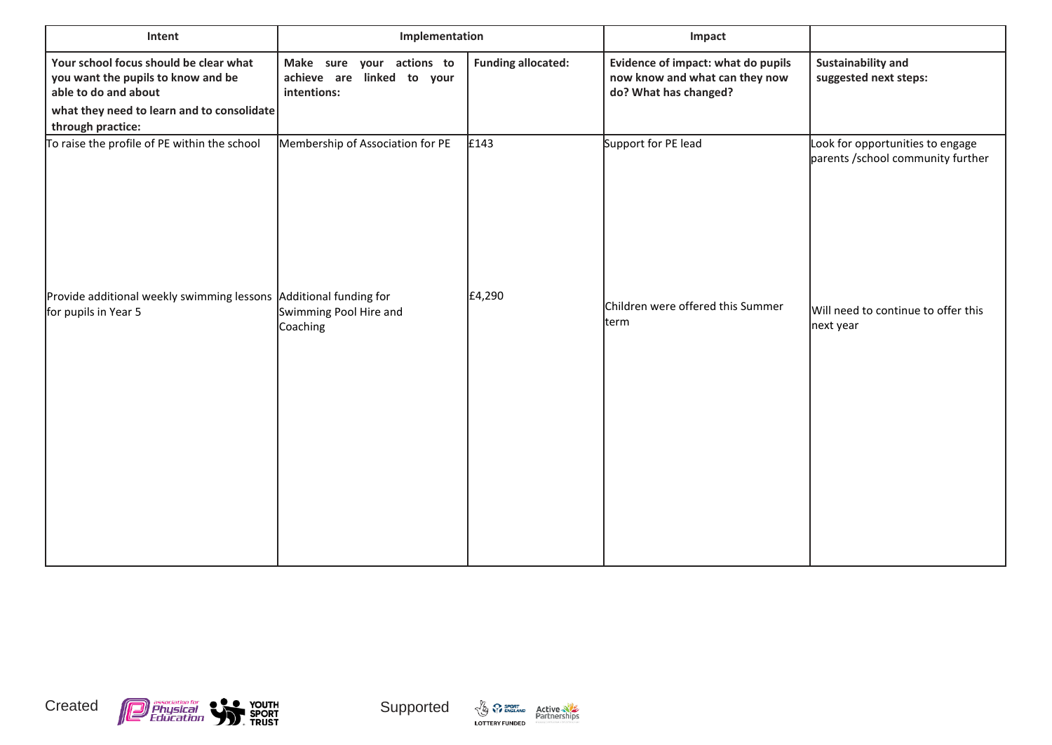| Intent                                                                                                                                                                  | Implementation                                                         |                           | Impact                                                                                        |                                                                        |
|-------------------------------------------------------------------------------------------------------------------------------------------------------------------------|------------------------------------------------------------------------|---------------------------|-----------------------------------------------------------------------------------------------|------------------------------------------------------------------------|
| Your school focus should be clear what<br>you want the pupils to know and be<br>able to do and about<br>what they need to learn and to consolidate<br>through practice: | Make sure your actions to<br>achieve are linked to your<br>intentions: | <b>Funding allocated:</b> | Evidence of impact: what do pupils<br>now know and what can they now<br>do? What has changed? | <b>Sustainability and</b><br>suggested next steps:                     |
| To raise the profile of PE within the school                                                                                                                            | Membership of Association for PE                                       | £143                      | Support for PE lead                                                                           | Look for opportunities to engage<br>parents / school community further |
| Provide additional weekly swimming lessons Additional funding for<br>for pupils in Year 5                                                                               | Swimming Pool Hire and<br>Coaching                                     | £4,290                    | Children were offered this Summer<br>term                                                     | Will need to continue to offer this<br>next year                       |







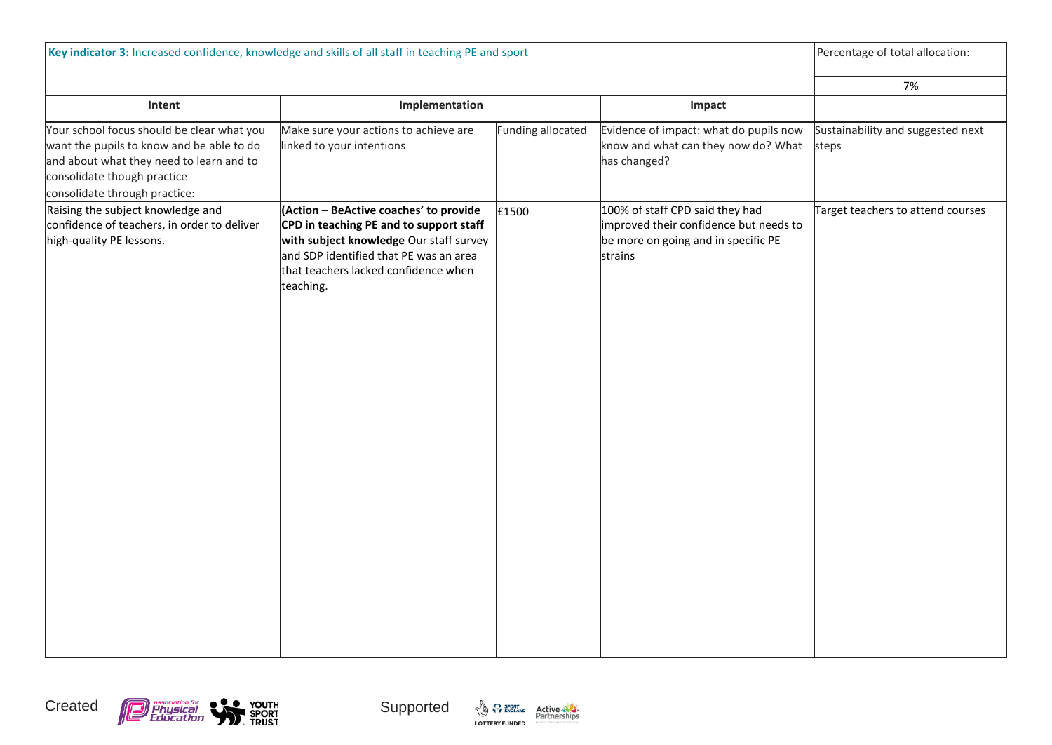| Key indicator 3: Increased confidence, knowledge and skills of all staff in teaching PE and sport                                                                                                   |                                                                                                                                                                                                                             |                   | Percentage of total allocation:                                                                                             |                                            |
|-----------------------------------------------------------------------------------------------------------------------------------------------------------------------------------------------------|-----------------------------------------------------------------------------------------------------------------------------------------------------------------------------------------------------------------------------|-------------------|-----------------------------------------------------------------------------------------------------------------------------|--------------------------------------------|
|                                                                                                                                                                                                     |                                                                                                                                                                                                                             |                   |                                                                                                                             | 7%                                         |
| Intent                                                                                                                                                                                              | Implementation                                                                                                                                                                                                              |                   | Impact                                                                                                                      |                                            |
| Your school focus should be clear what you<br>want the pupils to know and be able to do<br>and about what they need to learn and to<br>consolidate though practice<br>consolidate through practice: | Make sure your actions to achieve are<br>linked to your intentions                                                                                                                                                          | Funding allocated | Evidence of impact: what do pupils now<br>know and what can they now do? What<br>has changed?                               | Sustainability and suggested next<br>steps |
| Raising the subject knowledge and<br>confidence of teachers, in order to deliver<br>high-quality PE lessons.                                                                                        | (Action - BeActive coaches' to provide<br>CPD in teaching PE and to support staff<br>with subject knowledge Our staff survey<br>and SDP identified that PE was an area<br>that teachers lacked confidence when<br>teaching. | £1500             | 100% of staff CPD said they had<br>improved their confidence but needs to<br>be more on going and in specific PE<br>strains | Target teachers to attend courses          |





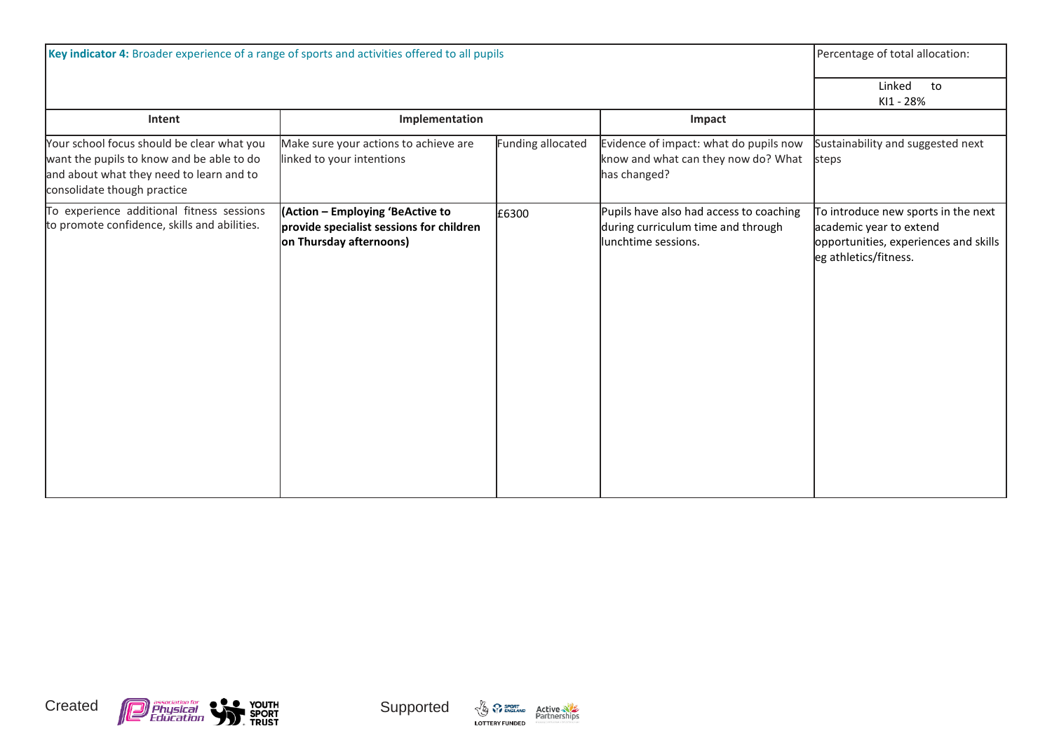| Key indicator 4: Broader experience of a range of sports and activities offered to all pupils                                                                      |                                                                                                         |                   | Percentage of total allocation:                                                                      |                                                                                                                                  |
|--------------------------------------------------------------------------------------------------------------------------------------------------------------------|---------------------------------------------------------------------------------------------------------|-------------------|------------------------------------------------------------------------------------------------------|----------------------------------------------------------------------------------------------------------------------------------|
|                                                                                                                                                                    |                                                                                                         |                   |                                                                                                      | Linked<br>to<br>KI1 - 28%                                                                                                        |
| Intent                                                                                                                                                             | Implementation                                                                                          |                   | Impact                                                                                               |                                                                                                                                  |
| Your school focus should be clear what you<br>want the pupils to know and be able to do<br>and about what they need to learn and to<br>consolidate though practice | Make sure your actions to achieve are<br>linked to your intentions                                      | Funding allocated | Evidence of impact: what do pupils now<br>know and what can they now do? What<br>has changed?        | Sustainability and suggested next<br>steps                                                                                       |
| To experience additional fitness sessions<br>to promote confidence, skills and abilities.                                                                          | (Action - Employing 'BeActive to<br>provide specialist sessions for children<br>on Thursday afternoons) | £6300             | Pupils have also had access to coaching<br>during curriculum time and through<br>lunchtime sessions. | To introduce new sports in the next<br>academic year to extend<br>opportunities, experiences and skills<br>eg athletics/fitness. |





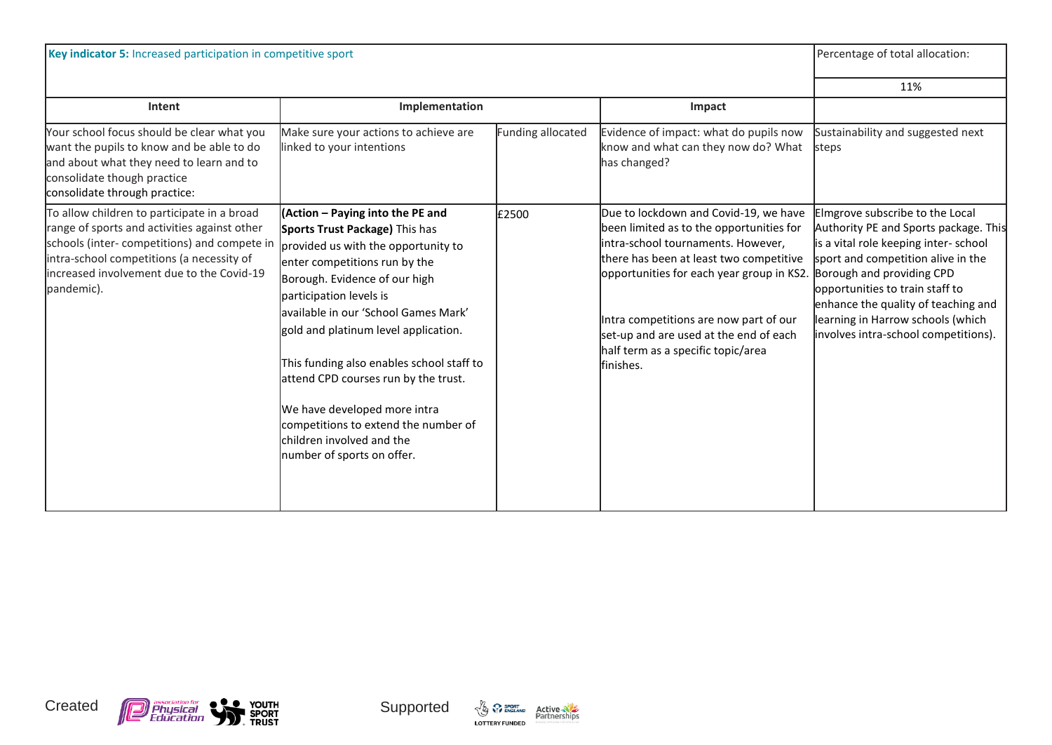| Key indicator 5: Increased participation in competitive sport                                                                                                                                                                                      |                                                                                                                                                                                                                                                                                                                                                                                                                                                                                                                |                   | Percentage of total allocation:                                                                                                                                                                                                                                                                                                                         |                                                                                                                                                                                                                                                                                                                                            |
|----------------------------------------------------------------------------------------------------------------------------------------------------------------------------------------------------------------------------------------------------|----------------------------------------------------------------------------------------------------------------------------------------------------------------------------------------------------------------------------------------------------------------------------------------------------------------------------------------------------------------------------------------------------------------------------------------------------------------------------------------------------------------|-------------------|---------------------------------------------------------------------------------------------------------------------------------------------------------------------------------------------------------------------------------------------------------------------------------------------------------------------------------------------------------|--------------------------------------------------------------------------------------------------------------------------------------------------------------------------------------------------------------------------------------------------------------------------------------------------------------------------------------------|
|                                                                                                                                                                                                                                                    |                                                                                                                                                                                                                                                                                                                                                                                                                                                                                                                |                   |                                                                                                                                                                                                                                                                                                                                                         | 11%                                                                                                                                                                                                                                                                                                                                        |
| Intent                                                                                                                                                                                                                                             | Implementation                                                                                                                                                                                                                                                                                                                                                                                                                                                                                                 |                   | Impact                                                                                                                                                                                                                                                                                                                                                  |                                                                                                                                                                                                                                                                                                                                            |
| Your school focus should be clear what you<br>want the pupils to know and be able to do<br>and about what they need to learn and to<br>consolidate though practice<br>consolidate through practice:                                                | Make sure your actions to achieve are<br>linked to your intentions                                                                                                                                                                                                                                                                                                                                                                                                                                             | Funding allocated | Evidence of impact: what do pupils now<br>know and what can they now do? What<br>has changed?                                                                                                                                                                                                                                                           | Sustainability and suggested next<br>steps                                                                                                                                                                                                                                                                                                 |
| To allow children to participate in a broad<br>range of sports and activities against other<br>schools (inter-competitions) and compete in<br>intra-school competitions (a necessity of<br>increased involvement due to the Covid-19<br>pandemic). | (Action - Paying into the PE and<br>Sports Trust Package) This has<br>provided us with the opportunity to<br>enter competitions run by the<br>Borough. Evidence of our high<br>participation levels is<br>available in our 'School Games Mark'<br>gold and platinum level application.<br>This funding also enables school staff to<br>attend CPD courses run by the trust.<br>We have developed more intra<br>competitions to extend the number of<br>children involved and the<br>number of sports on offer. | £2500             | Due to lockdown and Covid-19, we have<br>been limited as to the opportunities for<br>intra-school tournaments. However,<br>there has been at least two competitive<br>opportunities for each year group in KS2.<br>Intra competitions are now part of our<br>set-up and are used at the end of each<br>half term as a specific topic/area<br>lfinishes. | Elmgrove subscribe to the Local<br>Authority PE and Sports package. This<br>is a vital role keeping inter-school<br>sport and competition alive in the<br>Borough and providing CPD<br>opportunities to train staff to<br>enhance the quality of teaching and<br>learning in Harrow schools (which<br>involves intra-school competitions). |